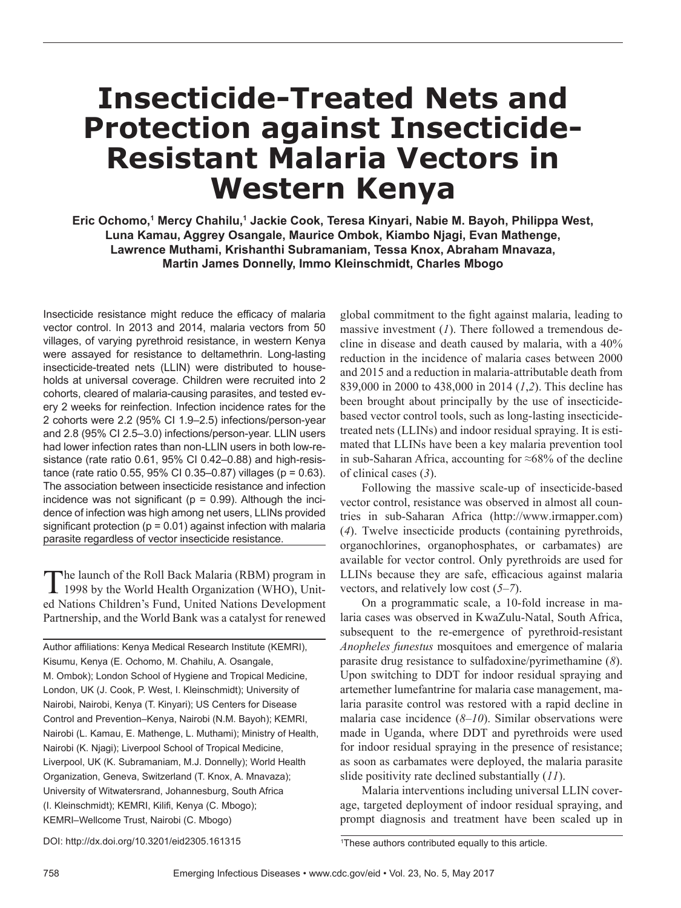# **Insecticide-Treated Nets and Protection against Insecticide-Resistant Malaria Vectors in Western Kenya**

**Eric Ochomo,1 Mercy Chahilu,1 Jackie Cook, Teresa Kinyari, Nabie M. Bayoh, Philippa West, Luna Kamau, Aggrey Osangale, Maurice Ombok, Kiambo Njagi, Evan Mathenge, Lawrence Muthami, Krishanthi Subramaniam, Tessa Knox, Abraham Mnavaza, Martin James Donnelly, Immo Kleinschmidt, Charles Mbogo**

Insecticide resistance might reduce the efficacy of malaria vector control. In 2013 and 2014, malaria vectors from 50 villages, of varying pyrethroid resistance, in western Kenya were assayed for resistance to deltamethrin. Long-lasting insecticide-treated nets (LLIN) were distributed to households at universal coverage. Children were recruited into 2 cohorts, cleared of malaria-causing parasites, and tested every 2 weeks for reinfection. Infection incidence rates for the 2 cohorts were 2.2 (95% CI 1.9–2.5) infections/person-year and 2.8 (95% CI 2.5–3.0) infections/person-year. LLIN users had lower infection rates than non-LLIN users in both low-resistance (rate ratio 0.61, 95% CI 0.42–0.88) and high-resistance (rate ratio  $0.55$ ,  $95\%$  CI  $0.35-0.87$ ) villages (p = 0.63). The association between insecticide resistance and infection incidence was not significant ( $p = 0.99$ ). Although the incidence of infection was high among net users, LLINs provided significant protection ( $p = 0.01$ ) against infection with malaria parasite regardless of vector insecticide resistance.

The launch of the Roll Back Malaria (RBM) program in 1998 by the World Health Organization (WHO), United Nations Children's Fund, United Nations Development Partnership, and the World Bank was a catalyst for renewed

Author affiliations: Kenya Medical Research Institute (KEMRI), Kisumu, Kenya (E. Ochomo, M. Chahilu, A. Osangale, M. Ombok); London School of Hygiene and Tropical Medicine, London, UK (J. Cook, P. West, I. Kleinschmidt); University of Nairobi, Nairobi, Kenya (T. Kinyari); US Centers for Disease Control and Prevention–Kenya, Nairobi (N.M. Bayoh); KEMRI, Nairobi (L. Kamau, E. Mathenge, L. Muthami); Ministry of Health, Nairobi (K. Njagi); Liverpool School of Tropical Medicine, Liverpool, UK (K. Subramaniam, M.J. Donnelly); World Health Organization, Geneva, Switzerland (T. Knox, A. Mnavaza); University of Witwatersrand, Johannesburg, South Africa (I. Kleinschmidt); KEMRI, Kilifi, Kenya (C. Mbogo); KEMRI–Wellcome Trust, Nairobi (C. Mbogo)

global commitment to the fight against malaria, leading to massive investment (*1*). There followed a tremendous decline in disease and death caused by malaria, with a 40% reduction in the incidence of malaria cases between 2000 and 2015 and a reduction in malaria-attributable death from 839,000 in 2000 to 438,000 in 2014 (*1*,*2*). This decline has been brought about principally by the use of insecticidebased vector control tools, such as long-lasting insecticidetreated nets (LLINs) and indoor residual spraying. It is estimated that LLINs have been a key malaria prevention tool in sub-Saharan Africa, accounting for ≈68% of the decline of clinical cases (*3*).

Following the massive scale-up of insecticide-based vector control, resistance was observed in almost all countries in sub-Saharan Africa (http://www.irmapper.com) (*4*). Twelve insecticide products (containing pyrethroids, organochlorines, organophosphates, or carbamates) are available for vector control. Only pyrethroids are used for LLINs because they are safe, efficacious against malaria vectors, and relatively low cost (*5*–*7*).

On a programmatic scale, a 10-fold increase in malaria cases was observed in KwaZulu-Natal, South Africa, subsequent to the re-emergence of pyrethroid-resistant *Anopheles funestus* mosquitoes and emergence of malaria parasite drug resistance to sulfadoxine/pyrimethamine (*8*). Upon switching to DDT for indoor residual spraying and artemether lumefantrine for malaria case management, malaria parasite control was restored with a rapid decline in malaria case incidence (*8*–*10*). Similar observations were made in Uganda, where DDT and pyrethroids were used for indoor residual spraying in the presence of resistance; as soon as carbamates were deployed, the malaria parasite slide positivity rate declined substantially (*11*).

Malaria interventions including universal LLIN coverage, targeted deployment of indoor residual spraying, and prompt diagnosis and treatment have been scaled up in

DOI: http://dx.doi.org/10.3201/eid2305.161315 <sup>1</sup>

<sup>&</sup>lt;sup>1</sup>These authors contributed equally to this article.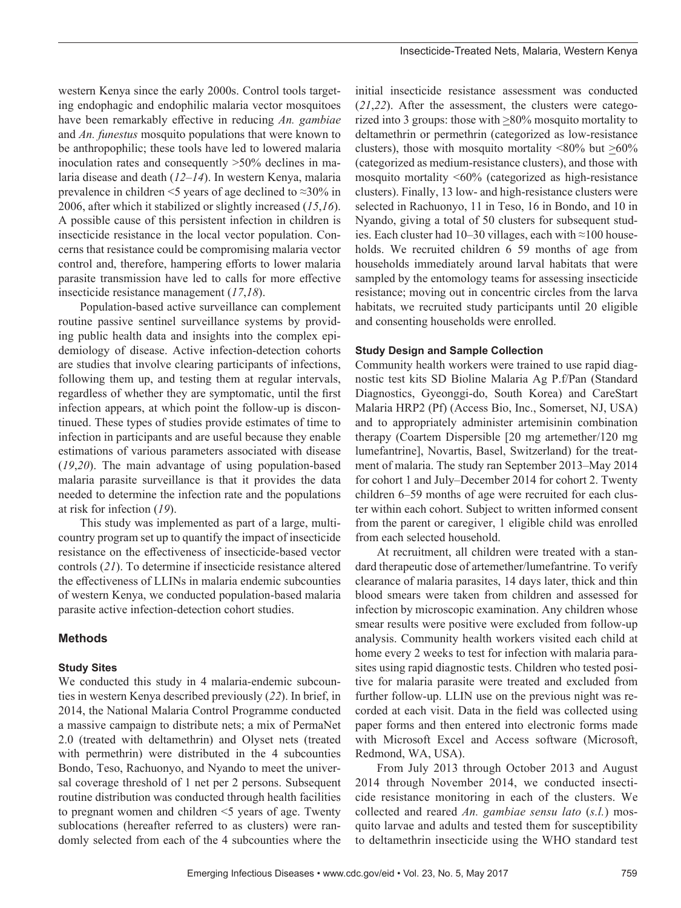western Kenya since the early 2000s. Control tools targeting endophagic and endophilic malaria vector mosquitoes have been remarkably effective in reducing *An. gambiae* and *An. funestus* mosquito populations that were known to be anthropophilic; these tools have led to lowered malaria inoculation rates and consequently >50% declines in malaria disease and death (*12*–*14*). In western Kenya, malaria prevalence in children <5 years of age declined to ≈30% in 2006, after which it stabilized or slightly increased (*15*,*16*). A possible cause of this persistent infection in children is insecticide resistance in the local vector population. Concerns that resistance could be compromising malaria vector control and, therefore, hampering efforts to lower malaria parasite transmission have led to calls for more effective insecticide resistance management (*17*,*18*).

Population-based active surveillance can complement routine passive sentinel surveillance systems by providing public health data and insights into the complex epidemiology of disease. Active infection-detection cohorts are studies that involve clearing participants of infections, following them up, and testing them at regular intervals, regardless of whether they are symptomatic, until the first infection appears, at which point the follow-up is discontinued. These types of studies provide estimates of time to infection in participants and are useful because they enable estimations of various parameters associated with disease (*19*,*20*). The main advantage of using population-based malaria parasite surveillance is that it provides the data needed to determine the infection rate and the populations at risk for infection (*19*).

This study was implemented as part of a large, multicountry program set up to quantify the impact of insecticide resistance on the effectiveness of insecticide-based vector controls (*21*). To determine if insecticide resistance altered the effectiveness of LLINs in malaria endemic subcounties of western Kenya, we conducted population-based malaria parasite active infection-detection cohort studies.

# **Methods**

#### **Study Sites**

We conducted this study in 4 malaria-endemic subcounties in western Kenya described previously (*22*). In brief, in 2014, the National Malaria Control Programme conducted a massive campaign to distribute nets; a mix of PermaNet 2.0 (treated with deltamethrin) and Olyset nets (treated with permethrin) were distributed in the 4 subcounties Bondo, Teso, Rachuonyo, and Nyando to meet the universal coverage threshold of 1 net per 2 persons. Subsequent routine distribution was conducted through health facilities to pregnant women and children <5 years of age. Twenty sublocations (hereafter referred to as clusters) were randomly selected from each of the 4 subcounties where the

initial insecticide resistance assessment was conducted (*21*,*22*). After the assessment, the clusters were categorized into 3 groups: those with  $\geq$ 80% mosquito mortality to deltamethrin or permethrin (categorized as low-resistance clusters), those with mosquito mortality  $\langle 80\%$  but  $\geq 60\%$ (categorized as medium-resistance clusters), and those with mosquito mortality <60% (categorized as high-resistance clusters). Finally, 13 low- and high-resistance clusters were selected in Rachuonyo, 11 in Teso, 16 in Bondo, and 10 in Nyando, giving a total of 50 clusters for subsequent studies. Each cluster had 10–30 villages, each with ≈100 households. We recruited children 6 59 months of age from households immediately around larval habitats that were sampled by the entomology teams for assessing insecticide resistance; moving out in concentric circles from the larva habitats, we recruited study participants until 20 eligible and consenting households were enrolled.

#### **Study Design and Sample Collection**

Community health workers were trained to use rapid diagnostic test kits SD Bioline Malaria Ag P.f/Pan (Standard Diagnostics, Gyeonggi-do, South Korea) and CareStart Malaria HRP2 (Pf) (Access Bio, Inc., Somerset, NJ, USA) and to appropriately administer artemisinin combination therapy (Coartem Dispersible [20 mg artemether/120 mg lumefantrine], Novartis, Basel, Switzerland) for the treatment of malaria. The study ran September 2013–May 2014 for cohort 1 and July–December 2014 for cohort 2. Twenty children 6–59 months of age were recruited for each cluster within each cohort. Subject to written informed consent from the parent or caregiver, 1 eligible child was enrolled from each selected household.

At recruitment, all children were treated with a standard therapeutic dose of artemether/lumefantrine. To verify clearance of malaria parasites, 14 days later, thick and thin blood smears were taken from children and assessed for infection by microscopic examination. Any children whose smear results were positive were excluded from follow-up analysis. Community health workers visited each child at home every 2 weeks to test for infection with malaria parasites using rapid diagnostic tests. Children who tested positive for malaria parasite were treated and excluded from further follow-up. LLIN use on the previous night was recorded at each visit. Data in the field was collected using paper forms and then entered into electronic forms made with Microsoft Excel and Access software (Microsoft, Redmond, WA, USA).

From July 2013 through October 2013 and August 2014 through November 2014, we conducted insecticide resistance monitoring in each of the clusters. We collected and reared *An. gambiae sensu lato* (*s.l.*) mosquito larvae and adults and tested them for susceptibility to deltamethrin insecticide using the WHO standard test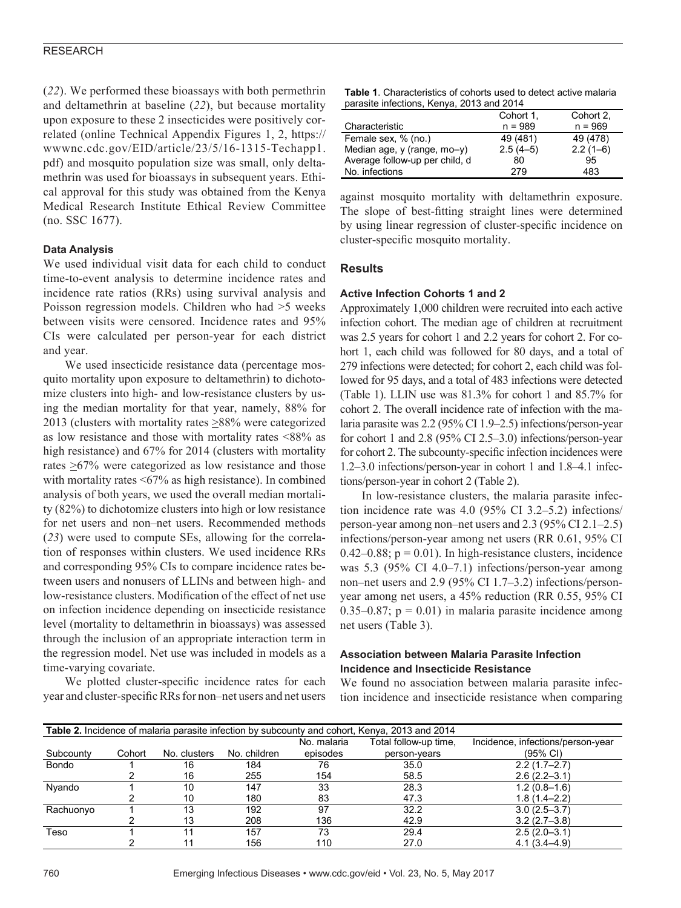#### RESEARCH

(*22*). We performed these bioassays with both permethrin and deltamethrin at baseline (*22*), but because mortality upon exposure to these 2 insecticides were positively correlated (online Technical Appendix Figures 1, 2, https:// wwwnc.cdc.gov/EID/article/23/5/16-1315-Techapp1. pdf) and mosquito population size was small, only deltamethrin was used for bioassays in subsequent years. Ethical approval for this study was obtained from the Kenya Medical Research Institute Ethical Review Committee (no. SSC 1677).

#### **Data Analysis**

We used individual visit data for each child to conduct time-to-event analysis to determine incidence rates and incidence rate ratios (RRs) using survival analysis and Poisson regression models. Children who had >5 weeks between visits were censored. Incidence rates and 95% CIs were calculated per person-year for each district and year.

We used insecticide resistance data (percentage mosquito mortality upon exposure to deltamethrin) to dichotomize clusters into high- and low-resistance clusters by using the median mortality for that year, namely, 88% for 2013 (clusters with mortality rates  $\geq$ 88% were categorized as low resistance and those with mortality rates <88% as high resistance) and 67% for 2014 (clusters with mortality rates >67% were categorized as low resistance and those with mortality rates <67% as high resistance). In combined analysis of both years, we used the overall median mortality (82%) to dichotomize clusters into high or low resistance for net users and non–net users. Recommended methods (*23*) were used to compute SEs, allowing for the correlation of responses within clusters. We used incidence RRs and corresponding 95% CIs to compare incidence rates between users and nonusers of LLINs and between high- and low-resistance clusters. Modification of the effect of net use on infection incidence depending on insecticide resistance level (mortality to deltamethrin in bioassays) was assessed through the inclusion of an appropriate interaction term in the regression model. Net use was included in models as a time-varying covariate.

We plotted cluster-specific incidence rates for each year and cluster-specific RRs for non–net users and net users

| <b>Table 1.</b> Characteristics of cohorts used to detect active malaria |  |
|--------------------------------------------------------------------------|--|
| parasite infections, Kenya, 2013 and 2014                                |  |

|                                | Cohort 1.  | Cohort 2.  |
|--------------------------------|------------|------------|
| Characteristic                 | $n = 989$  | $n = 969$  |
| Female sex, % (no.)            | 49 (481)   | 49 (478)   |
| Median age, y (range, mo-y)    | $2.5(4-5)$ | $2.2(1-6)$ |
| Average follow-up per child, d | 80         | 95         |
| No. infections                 | 279        | 483        |

against mosquito mortality with deltamethrin exposure. The slope of best-fitting straight lines were determined by using linear regression of cluster-specific incidence on cluster-specific mosquito mortality.

#### **Results**

#### **Active Infection Cohorts 1 and 2**

Approximately 1,000 children were recruited into each active infection cohort. The median age of children at recruitment was 2.5 years for cohort 1 and 2.2 years for cohort 2. For cohort 1, each child was followed for 80 days, and a total of 279 infections were detected; for cohort 2, each child was followed for 95 days, and a total of 483 infections were detected (Table 1). LLIN use was 81.3% for cohort 1 and 85.7% for cohort 2. The overall incidence rate of infection with the malaria parasite was 2.2 (95% CI 1.9–2.5) infections/person-year for cohort 1 and 2.8 (95% CI 2.5–3.0) infections/person-year for cohort 2. The subcounty-specific infection incidences were 1.2–3.0 infections/person-year in cohort 1 and 1.8–4.1 infections/person-year in cohort 2 (Table 2).

In low-resistance clusters, the malaria parasite infection incidence rate was 4.0 (95% CI 3.2–5.2) infections/ person-year among non–net users and 2.3 (95% CI 2.1–2.5) infections/person-year among net users (RR 0.61, 95% CI 0.42–0.88;  $p = 0.01$ ). In high-resistance clusters, incidence was 5.3 (95% CI 4.0–7.1) infections/person-year among non–net users and 2.9 (95% CI 1.7–3.2) infections/personyear among net users, a 45% reduction (RR 0.55, 95% CI 0.35–0.87;  $p = 0.01$ ) in malaria parasite incidence among net users (Table 3).

## **Association between Malaria Parasite Infection Incidence and Insecticide Resistance**

We found no association between malaria parasite infection incidence and insecticide resistance when comparing

| <b>Table 2.</b> Incidence of malaria parasite infection by subcounty and cohort, Kenya, 2013 and 2014 |        |              |              |             |                       |                                   |  |  |
|-------------------------------------------------------------------------------------------------------|--------|--------------|--------------|-------------|-----------------------|-----------------------------------|--|--|
|                                                                                                       |        |              |              | No. malaria | Total follow-up time, | Incidence, infections/person-year |  |  |
| Subcounty                                                                                             | Cohort | No. clusters | No. children | episodes    | person-years          | $(95% \text{ Cl})$                |  |  |
| <b>Bondo</b>                                                                                          |        | 16           | 184          | 76          | 35.0                  | $2.2(1.7-2.7)$                    |  |  |
|                                                                                                       |        | 16           | 255          | 154         | 58.5                  | $2.6(2.2 - 3.1)$                  |  |  |
| Nyando                                                                                                |        | 10           | 147          | 33          | 28.3                  | $1.2(0.8-1.6)$                    |  |  |
|                                                                                                       |        | 10           | 180          | 83          | 47.3                  | $1.8(1.4 - 2.2)$                  |  |  |
| Rachuonyo                                                                                             |        | 13           | 192          | 97          | 32.2                  | $3.0(2.5 - 3.7)$                  |  |  |
|                                                                                                       |        | 13           | 208          | 136         | 42.9                  | $3.2(2.7-3.8)$                    |  |  |
| Teso                                                                                                  |        |              | 157          | 73          | 29.4                  | $2.5(2.0-3.1)$                    |  |  |
|                                                                                                       |        |              | 156          | 110         | 27.0                  | $4.1(3.4 - 4.9)$                  |  |  |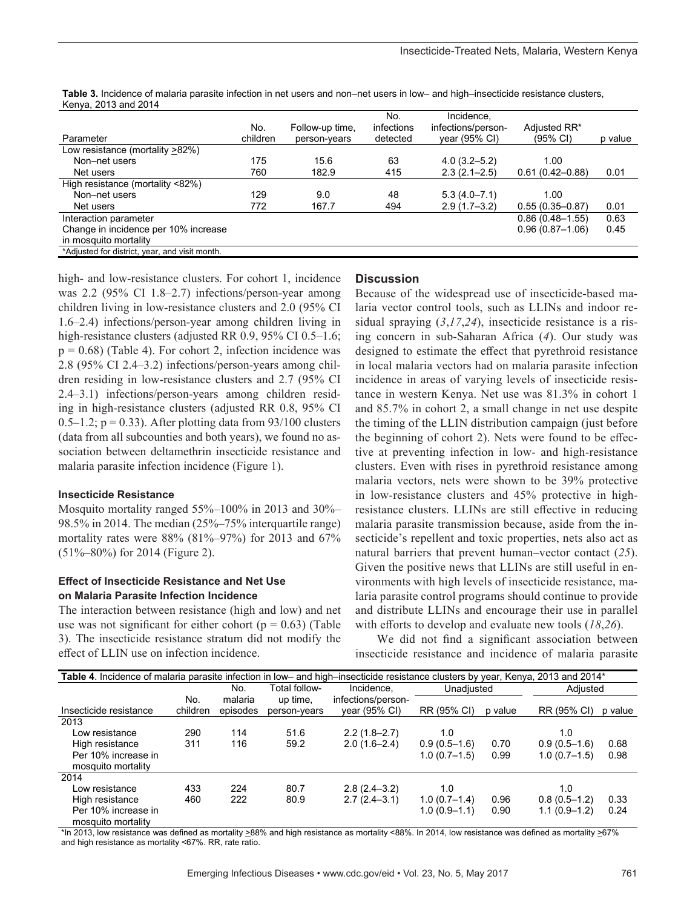| $\frac{1}{2}$ . $\frac{1}{2}$ . $\frac{1}{2}$ or $\frac{1}{2}$ and $\frac{1}{2}$ or $\frac{1}{2}$ |          |                 |                   |                                  |                     |         |
|---------------------------------------------------------------------------------------------------|----------|-----------------|-------------------|----------------------------------|---------------------|---------|
|                                                                                                   | No.      | Follow-up time, | No.<br>infections | Incidence,<br>infections/person- | Adiusted RR*        |         |
| Parameter                                                                                         | children | person-vears    | detected          | year $(95% \text{ Cl})$          | $(95% \text{ Cl})$  | p value |
| Low resistance (mortality >82%)                                                                   |          |                 |                   |                                  |                     |         |
| Non-net users                                                                                     | 175      | 15.6            | 63                | $4.0(3.2 - 5.2)$                 | 1.00                |         |
| Net users                                                                                         | 760      | 182.9           | 415               | $2.3(2.1 - 2.5)$                 | $0.61(0.42 - 0.88)$ | 0.01    |
| High resistance (mortality <82%)                                                                  |          |                 |                   |                                  |                     |         |
| Non-net users                                                                                     | 129      | 9.0             | 48                | $5.3(4.0 - 7.1)$                 | 1.00                |         |
| Net users                                                                                         | 772      | 167.7           | 494               | $2.9(1.7-3.2)$                   | $0.55(0.35 - 0.87)$ | 0.01    |
| Interaction parameter                                                                             |          |                 |                   |                                  | $0.86(0.48 - 1.55)$ | 0.63    |
| Change in incidence per 10% increase                                                              |          |                 |                   |                                  | $0.96(0.87 - 1.06)$ | 0.45    |
| in mosquito mortality                                                                             |          |                 |                   |                                  |                     |         |
| *Adjusted for district, year, and visit month.                                                    |          |                 |                   |                                  |                     |         |

**Table 3.** Incidence of malaria parasite infection in net users and non–net users in low– and high–insecticide resistance clusters, Kenya, 2013 and 2014

high- and low-resistance clusters. For cohort 1, incidence was 2.2 (95% CI 1.8–2.7) infections/person-year among children living in low-resistance clusters and 2.0 (95% CI 1.6–2.4) infections/person-year among children living in high-resistance clusters (adjusted RR 0.9, 95% CI 0.5–1.6;  $p = 0.68$ ) (Table 4). For cohort 2, infection incidence was 2.8 (95% CI 2.4–3.2) infections/person-years among children residing in low-resistance clusters and 2.7 (95% CI 2.4–3.1) infections/person-years among children residing in high-resistance clusters (adjusted RR 0.8, 95% CI  $0.5-1.2$ ; p = 0.33). After plotting data from 93/100 clusters (data from all subcounties and both years), we found no association between deltamethrin insecticide resistance and malaria parasite infection incidence (Figure 1).

#### **Insecticide Resistance**

Mosquito mortality ranged 55%–100% in 2013 and 30%– 98.5% in 2014. The median (25%–75% interquartile range) mortality rates were 88% (81%–97%) for 2013 and 67% (51%–80%) for 2014 (Figure 2).

#### **Effect of Insecticide Resistance and Net Use on Malaria Parasite Infection Incidence**

The interaction between resistance (high and low) and net use was not significant for either cohort ( $p = 0.63$ ) (Table 3). The insecticide resistance stratum did not modify the effect of LLIN use on infection incidence.

#### **Discussion**

Because of the widespread use of insecticide-based malaria vector control tools, such as LLINs and indoor residual spraying (*3*,*17*,*24*), insecticide resistance is a rising concern in sub-Saharan Africa (*4*). Our study was designed to estimate the effect that pyrethroid resistance in local malaria vectors had on malaria parasite infection incidence in areas of varying levels of insecticide resistance in western Kenya. Net use was 81.3% in cohort 1 and 85.7% in cohort 2, a small change in net use despite the timing of the LLIN distribution campaign (just before the beginning of cohort 2). Nets were found to be effective at preventing infection in low- and high-resistance clusters. Even with rises in pyrethroid resistance among malaria vectors, nets were shown to be 39% protective in low-resistance clusters and 45% protective in highresistance clusters. LLINs are still effective in reducing malaria parasite transmission because, aside from the insecticide's repellent and toxic properties, nets also act as natural barriers that prevent human–vector contact (*25*). Given the positive news that LLINs are still useful in environments with high levels of insecticide resistance, malaria parasite control programs should continue to provide and distribute LLINs and encourage their use in parallel with efforts to develop and evaluate new tools (*18*,*26*).

We did not find a significant association between insecticide resistance and incidence of malaria parasite

| <b>Table 4</b> . Incidence of malaria parasite infection in low- and high-insecticide resistance clusters by year, Kenya, 2013 and 2014* |          |          |               |                    |                |         |                |         |
|------------------------------------------------------------------------------------------------------------------------------------------|----------|----------|---------------|--------------------|----------------|---------|----------------|---------|
|                                                                                                                                          |          | No.      | Total follow- | Incidence,         | Unadiusted     |         | Adjusted       |         |
|                                                                                                                                          | No.      | malaria  | up time.      | infections/person- |                |         |                |         |
| Insecticide resistance                                                                                                                   | children | episodes | person-vears  | year (95% CI)      | RR (95% CI)    | p value | RR (95% CI)    | p value |
| 2013                                                                                                                                     |          |          |               |                    |                |         |                |         |
| Low resistance                                                                                                                           | 290      | 114      | 51.6          | $2.2(1.8-2.7)$     | 1.0            |         | 1.0            |         |
| High resistance                                                                                                                          | 311      | 116      | 59.2          | $2.0(1.6-2.4)$     | $0.9(0.5-1.6)$ | 0.70    | $0.9(0.5-1.6)$ | 0.68    |
| Per 10% increase in                                                                                                                      |          |          |               |                    | $1.0(0.7-1.5)$ | 0.99    | $1.0(0.7-1.5)$ | 0.98    |
| mosquito mortality                                                                                                                       |          |          |               |                    |                |         |                |         |
| 2014                                                                                                                                     |          |          |               |                    |                |         |                |         |
| Low resistance                                                                                                                           | 433      | 224      | 80.7          | $2.8(2.4 - 3.2)$   | 1.0            |         | 1.0            |         |
| High resistance                                                                                                                          | 460      | 222      | 80.9          | $2.7(2.4-3.1)$     | $1.0(0.7-1.4)$ | 0.96    | $0.8(0.5-1.2)$ | 0.33    |
| Per 10% increase in                                                                                                                      |          |          |               |                    | $1.0(0.9-1.1)$ | 0.90    | $1.1(0.9-1.2)$ | 0.24    |
| mosquito mortality                                                                                                                       |          |          |               |                    |                |         |                |         |

\*In 2013, low resistance was defined as mortality >88% and high resistance as mortality <88%. In 2014, low resistance was defined as mortality >67% and high resistance as mortality <67%. RR, rate ratio.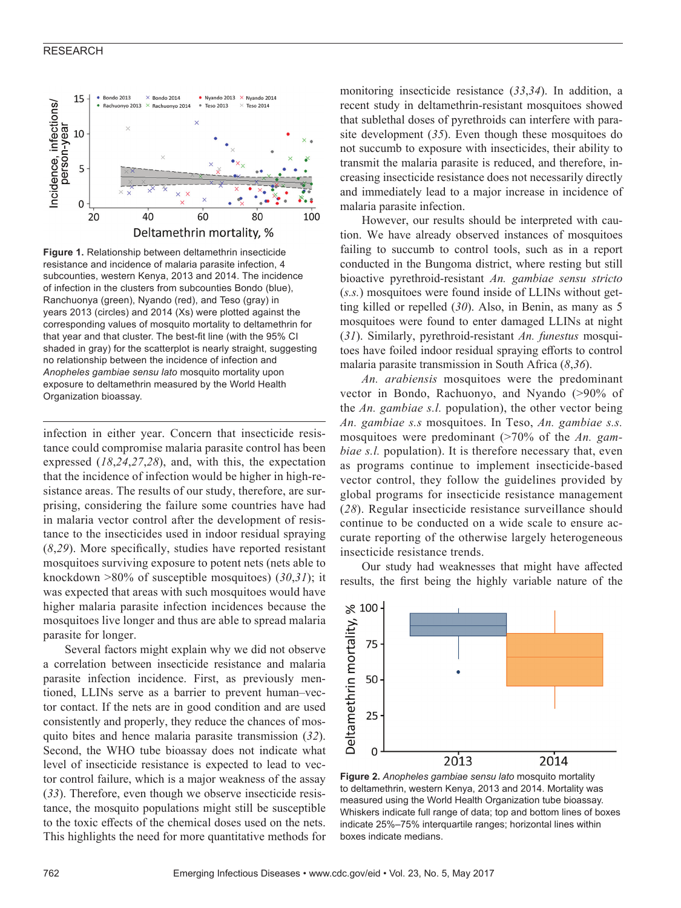#### RESEARCH



**Figure 1.** Relationship between deltamethrin insecticide resistance and incidence of malaria parasite infection, 4 subcounties, western Kenya, 2013 and 2014. The incidence of infection in the clusters from subcounties Bondo (blue), Ranchuonya (green), Nyando (red), and Teso (gray) in years 2013 (circles) and 2014 (Xs) were plotted against the corresponding values of mosquito mortality to deltamethrin for that year and that cluster. The best-fit line (with the 95% CI shaded in gray) for the scatterplot is nearly straight, suggesting no relationship between the incidence of infection and *Anopheles gambiae sensu lato* mosquito mortality upon exposure to deltamethrin measured by the World Health Organization bioassay.

infection in either year. Concern that insecticide resistance could compromise malaria parasite control has been expressed (*18*,*24*,*27*,*28*), and, with this, the expectation that the incidence of infection would be higher in high-resistance areas. The results of our study, therefore, are surprising, considering the failure some countries have had in malaria vector control after the development of resistance to the insecticides used in indoor residual spraying (*8*,*29*). More specifically, studies have reported resistant mosquitoes surviving exposure to potent nets (nets able to knockdown >80% of susceptible mosquitoes) (*30*,*31*); it was expected that areas with such mosquitoes would have higher malaria parasite infection incidences because the mosquitoes live longer and thus are able to spread malaria parasite for longer.

Several factors might explain why we did not observe a correlation between insecticide resistance and malaria parasite infection incidence. First, as previously mentioned, LLINs serve as a barrier to prevent human–vector contact. If the nets are in good condition and are used consistently and properly, they reduce the chances of mosquito bites and hence malaria parasite transmission (*32*). Second, the WHO tube bioassay does not indicate what level of insecticide resistance is expected to lead to vector control failure, which is a major weakness of the assay (*33*). Therefore, even though we observe insecticide resistance, the mosquito populations might still be susceptible to the toxic effects of the chemical doses used on the nets. This highlights the need for more quantitative methods for

monitoring insecticide resistance (*33*,*34*). In addition, a recent study in deltamethrin-resistant mosquitoes showed that sublethal doses of pyrethroids can interfere with parasite development (*35*). Even though these mosquitoes do not succumb to exposure with insecticides, their ability to transmit the malaria parasite is reduced, and therefore, increasing insecticide resistance does not necessarily directly and immediately lead to a major increase in incidence of malaria parasite infection.

However, our results should be interpreted with caution. We have already observed instances of mosquitoes failing to succumb to control tools, such as in a report conducted in the Bungoma district, where resting but still bioactive pyrethroid-resistant *An. gambiae sensu stricto* (*s.s.*) mosquitoes were found inside of LLINs without getting killed or repelled (*30*). Also, in Benin, as many as 5 mosquitoes were found to enter damaged LLINs at night (*31*). Similarly, pyrethroid-resistant *An. funestus* mosquitoes have foiled indoor residual spraying efforts to control malaria parasite transmission in South Africa (*8*,*36*).

*An. arabiensis* mosquitoes were the predominant vector in Bondo, Rachuonyo, and Nyando (>90% of the *An. gambiae s.l.* population), the other vector being *An. gambiae s.s* mosquitoes. In Teso, *An. gambiae s.s.* mosquitoes were predominant (>70% of the *An. gambiae s.l.* population). It is therefore necessary that, even as programs continue to implement insecticide-based vector control, they follow the guidelines provided by global programs for insecticide resistance management (*28*). Regular insecticide resistance surveillance should continue to be conducted on a wide scale to ensure accurate reporting of the otherwise largely heterogeneous insecticide resistance trends.

Our study had weaknesses that might have affected results, the first being the highly variable nature of the



**Figure 2.** *Anopheles gambiae sensu lato* mosquito mortality to deltamethrin, western Kenya, 2013 and 2014. Mortality was measured using the World Health Organization tube bioassay. Whiskers indicate full range of data; top and bottom lines of boxes indicate 25%–75% interquartile ranges; horizontal lines within boxes indicate medians.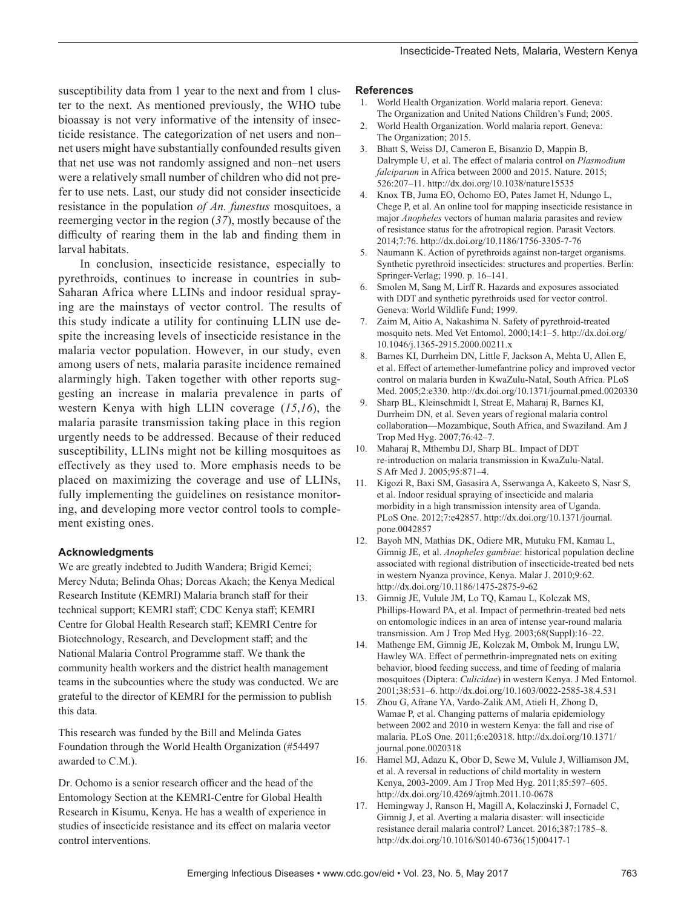susceptibility data from 1 year to the next and from 1 cluster to the next. As mentioned previously, the WHO tube bioassay is not very informative of the intensity of insecticide resistance. The categorization of net users and non– net users might have substantially confounded results given that net use was not randomly assigned and non–net users were a relatively small number of children who did not prefer to use nets. Last, our study did not consider insecticide resistance in the population *of An. funestus* mosquitoes, a reemerging vector in the region (*37*), mostly because of the difficulty of rearing them in the lab and finding them in larval habitats.

In conclusion, insecticide resistance, especially to pyrethroids, continues to increase in countries in sub-Saharan Africa where LLINs and indoor residual spraying are the mainstays of vector control. The results of this study indicate a utility for continuing LLIN use despite the increasing levels of insecticide resistance in the malaria vector population. However, in our study, even among users of nets, malaria parasite incidence remained alarmingly high. Taken together with other reports suggesting an increase in malaria prevalence in parts of western Kenya with high LLIN coverage (*15*,*16*), the malaria parasite transmission taking place in this region urgently needs to be addressed. Because of their reduced susceptibility, LLINs might not be killing mosquitoes as effectively as they used to. More emphasis needs to be placed on maximizing the coverage and use of LLINs, fully implementing the guidelines on resistance monitoring, and developing more vector control tools to complement existing ones.

#### **Acknowledgments**

We are greatly indebted to Judith Wandera; Brigid Kemei; Mercy Nduta; Belinda Ohas; Dorcas Akach; the Kenya Medical Research Institute (KEMRI) Malaria branch staff for their technical support; KEMRI staff; CDC Kenya staff; KEMRI Centre for Global Health Research staff; KEMRI Centre for Biotechnology, Research, and Development staff; and the National Malaria Control Programme staff. We thank the community health workers and the district health management teams in the subcounties where the study was conducted. We are grateful to the director of KEMRI for the permission to publish this data.

This research was funded by the Bill and Melinda Gates Foundation through the World Health Organization (#54497 awarded to C.M.).

Dr. Ochomo is a senior research officer and the head of the Entomology Section at the KEMRI-Centre for Global Health Research in Kisumu, Kenya. He has a wealth of experience in studies of insecticide resistance and its effect on malaria vector control interventions.

#### **References**

- 1. World Health Organization. World malaria report. Geneva: The Organization and United Nations Children's Fund; 2005.
- 2. World Health Organization. World malaria report. Geneva: The Organization; 2015.
- 3. Bhatt S, Weiss DJ, Cameron E, Bisanzio D, Mappin B, Dalrymple U, et al. The effect of malaria control on *Plasmodium falciparum* in Africa between 2000 and 2015. Nature. 2015; 526:207–11. http://dx.doi.org/10.1038/nature15535
- 4. Knox TB, Juma EO, Ochomo EO, Pates Jamet H, Ndungo L, Chege P, et al. An online tool for mapping insecticide resistance in major *Anopheles* vectors of human malaria parasites and review of resistance status for the afrotropical region. Parasit Vectors. 2014;7:76. http://dx.doi.org/10.1186/1756-3305-7-76
- 5. Naumann K. Action of pyrethroids against non-target organisms. Synthetic pyrethroid insecticides: structures and properties. Berlin: Springer-Verlag; 1990. p. 16–141.
- Smolen M, Sang M, Lirff R. Hazards and exposures associated with DDT and synthetic pyrethroids used for vector control. Geneva: World Wildlife Fund; 1999.
- 7. Zaim M, Aitio A, Nakashima N. Safety of pyrethroid-treated mosquito nets. Med Vet Entomol. 2000;14:1–5. http://dx.doi.org/ 10.1046/j.1365-2915.2000.00211.x
- 8. Barnes KI, Durrheim DN, Little F, Jackson A, Mehta U, Allen E, et al. Effect of artemether-lumefantrine policy and improved vector control on malaria burden in KwaZulu-Natal, South Africa. PLoS Med. 2005;2:e330. http://dx.doi.org/10.1371/journal.pmed.0020330
- 9. Sharp BL, Kleinschmidt I, Streat E, Maharaj R, Barnes KI, Durrheim DN, et al. Seven years of regional malaria control collaboration—Mozambique, South Africa, and Swaziland. Am J Trop Med Hyg. 2007;76:42–7.
- 10. Maharaj R, Mthembu DJ, Sharp BL. Impact of DDT re-introduction on malaria transmission in KwaZulu-Natal. S Afr Med J. 2005;95:871–4.
- 11. Kigozi R, Baxi SM, Gasasira A, Sserwanga A, Kakeeto S, Nasr S, et al. Indoor residual spraying of insecticide and malaria morbidity in a high transmission intensity area of Uganda. PLoS One. 2012;7:e42857. http://dx.doi.org/10.1371/journal. pone.0042857
- 12. Bayoh MN, Mathias DK, Odiere MR, Mutuku FM, Kamau L, Gimnig JE, et al. *Anopheles gambiae*: historical population decline associated with regional distribution of insecticide-treated bed nets in western Nyanza province, Kenya. Malar J. 2010;9:62. http://dx.doi.org/10.1186/1475-2875-9-62
- 13. Gimnig JE, Vulule JM, Lo TQ, Kamau L, Kolczak MS, Phillips-Howard PA, et al. Impact of permethrin-treated bed nets on entomologic indices in an area of intense year-round malaria transmission. Am J Trop Med Hyg. 2003;68(Suppl):16–22.
- 14. Mathenge EM, Gimnig JE, Kolczak M, Ombok M, Irungu LW, Hawley WA. Effect of permethrin-impregnated nets on exiting behavior, blood feeding success, and time of feeding of malaria mosquitoes (Diptera: *Culicidae*) in western Kenya. J Med Entomol. 2001;38:531–6. http://dx.doi.org/10.1603/0022-2585-38.4.531
- 15. Zhou G, Afrane YA, Vardo-Zalik AM, Atieli H, Zhong D, Wamae P, et al. Changing patterns of malaria epidemiology between 2002 and 2010 in western Kenya: the fall and rise of malaria. PLoS One. 2011;6:e20318. http://dx.doi.org/10.1371/ journal.pone.0020318
- 16. Hamel MJ, Adazu K, Obor D, Sewe M, Vulule J, Williamson JM, et al. A reversal in reductions of child mortality in western Kenya, 2003-2009. Am J Trop Med Hyg. 2011;85:597–605. http://dx.doi.org/10.4269/ajtmh.2011.10-0678
- 17. Hemingway J, Ranson H, Magill A, Kolaczinski J, Fornadel C, Gimnig J, et al. Averting a malaria disaster: will insecticide resistance derail malaria control? Lancet. 2016;387:1785–8. http://dx.doi.org/10.1016/S0140-6736(15)00417-1